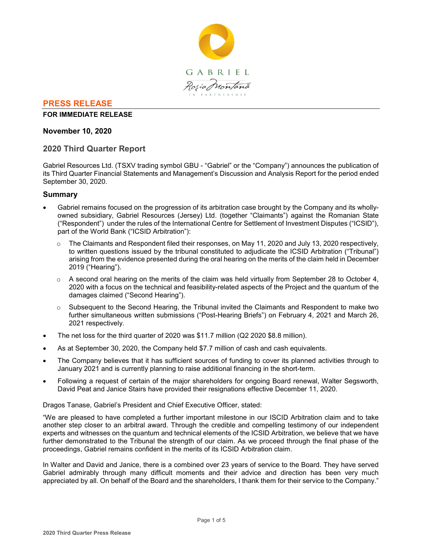

# **PRESS RELEASE**

#### **FOR IMMEDIATE RELEASE**

## **November 10, 2020**

## **2020 Third Quarter Report**

Gabriel Resources Ltd. (TSXV trading symbol GBU - "Gabriel" or the "Company") announces the publication of its Third Quarter Financial Statements and Management's Discussion and Analysis Report for the period ended September 30, 2020.

### **Summary**

- Gabriel remains focused on the progression of its arbitration case brought by the Company and its whollyowned subsidiary, Gabriel Resources (Jersey) Ltd. (together "Claimants") against the Romanian State ("Respondent") under the rules of the International Centre for Settlement of Investment Disputes ("ICSID"), part of the World Bank ("ICSID Arbitration"):
	- $\circ$  The Claimants and Respondent filed their responses, on May 11, 2020 and July 13, 2020 respectively, to written questions issued by the tribunal constituted to adjudicate the ICSID Arbitration ("Tribunal") arising from the evidence presented during the oral hearing on the merits of the claim held in December 2019 ("Hearing").
	- $\circ$  A second oral hearing on the merits of the claim was held virtually from September 28 to October 4, 2020 with a focus on the technical and feasibility-related aspects of the Project and the quantum of the damages claimed ("Second Hearing").
	- $\circ$  Subsequent to the Second Hearing, the Tribunal invited the Claimants and Respondent to make two further simultaneous written submissions ("Post-Hearing Briefs") on February 4, 2021 and March 26, 2021 respectively.
- The net loss for the third quarter of 2020 was \$11.7 million (Q2 2020 \$8.8 million).
- As at September 30, 2020, the Company held \$7.7 million of cash and cash equivalents.
- The Company believes that it has sufficient sources of funding to cover its planned activities through to January 2021 and is currently planning to raise additional financing in the short-term.
- Following a request of certain of the major shareholders for ongoing Board renewal, Walter Segsworth, David Peat and Janice Stairs have provided their resignations effective December 11, 2020.

Dragos Tanase, Gabriel's President and Chief Executive Officer, stated:

"We are pleased to have completed a further important milestone in our ISCID Arbitration claim and to take another step closer to an arbitral award. Through the credible and compelling testimony of our independent experts and witnesses on the quantum and technical elements of the ICSID Arbitration, we believe that we have further demonstrated to the Tribunal the strength of our claim. As we proceed through the final phase of the proceedings, Gabriel remains confident in the merits of its ICSID Arbitration claim.

In Walter and David and Janice, there is a combined over 23 years of service to the Board. They have served Gabriel admirably through many difficult moments and their advice and direction has been very much appreciated by all. On behalf of the Board and the shareholders, I thank them for their service to the Company."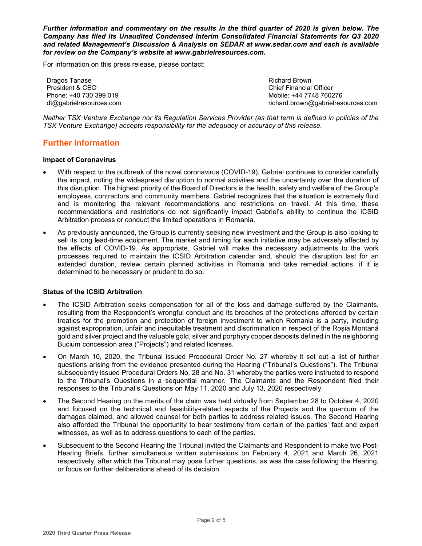*Further information and commentary on the results in the third quarter of 2020 is given below. The Company has filed its Unaudited Condensed Interim Consolidated Financial Statements for Q3 2020 and related Management's Discussion & Analysis on SEDAR at www.sedar.com and each is available for review on the Company's website at www.gabrielresources.com.* 

For information on this press release, please contact:

Dragos Tanase President & CEO Phone: +40 730 399 019 dt@gabrielresources.com Richard Brown Chief Financial Officer Mobile: +44 7748 760276 richard.brown@gabrielresources.com

*Neither TSX Venture Exchange nor its Regulation Services Provider (as that term is defined in policies of the TSX Venture Exchange) accepts responsibility for the adequacy or accuracy of this release.*

# **Further Information**

### **Impact of Coronavirus**

- With respect to the outbreak of the novel coronavirus (COVID-19), Gabriel continues to consider carefully the impact, noting the widespread disruption to normal activities and the uncertainty over the duration of this disruption. The highest priority of the Board of Directors is the health, safety and welfare of the Group's employees, contractors and community members. Gabriel recognizes that the situation is extremely fluid and is monitoring the relevant recommendations and restrictions on travel. At this time, these recommendations and restrictions do not significantly impact Gabriel's ability to continue the ICSID Arbitration process or conduct the limited operations in Romania.
- As previously announced, the Group is currently seeking new investment and the Group is also looking to sell its long lead-time equipment. The market and timing for each initiative may be adversely affected by the effects of COVID-19. As appropriate, Gabriel will make the necessary adjustments to the work processes required to maintain the ICSID Arbitration calendar and, should the disruption last for an extended duration, review certain planned activities in Romania and take remedial actions, if it is determined to be necessary or prudent to do so.

## **Status of the ICSID Arbitration**

- The ICSID Arbitration seeks compensation for all of the loss and damage suffered by the Claimants, resulting from the Respondent's wrongful conduct and its breaches of the protections afforded by certain treaties for the promotion and protection of foreign investment to which Romania is a party, including against expropriation, unfair and inequitable treatment and discrimination in respect of the Roșia Montană gold and silver project and the valuable gold, silver and porphyry copper deposits defined in the neighboring Bucium concession area ("Projects") and related licenses.
- On March 10, 2020, the Tribunal issued Procedural Order No. 27 whereby it set out a list of further questions arising from the evidence presented during the Hearing ("Tribunal's Questions"). The Tribunal subsequently issued Procedural Orders No. 28 and No. 31 whereby the parties were instructed to respond to the Tribunal's Questions in a sequential manner. The Claimants and the Respondent filed their responses to the Tribunal's Questions on May 11, 2020 and July 13, 2020 respectively.
- The Second Hearing on the merits of the claim was held virtually from September 28 to October 4, 2020 and focused on the technical and feasibility-related aspects of the Projects and the quantum of the damages claimed, and allowed counsel for both parties to address related issues. The Second Hearing also afforded the Tribunal the opportunity to hear testimony from certain of the parties' fact and expert witnesses, as well as to address questions to each of the parties.
- Subsequent to the Second Hearing the Tribunal invited the Claimants and Respondent to make two Post-Hearing Briefs, further simultaneous written submissions on February 4, 2021 and March 26, 2021 respectively, after which the Tribunal may pose further questions, as was the case following the Hearing, or focus on further deliberations ahead of its decision.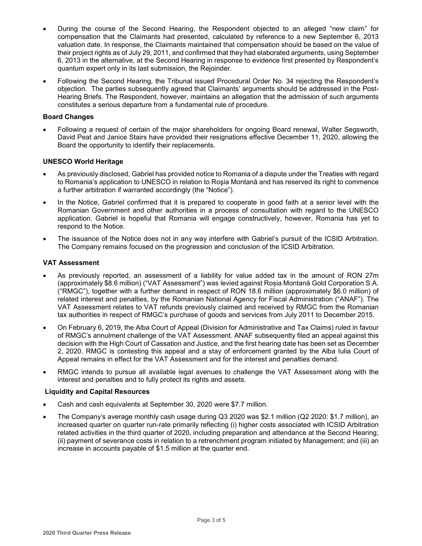- During the course of the Second Hearing, the Respondent objected to an alleged "new claim" for compensation that the Claimants had presented, calculated by reference to a new September 6, 2013 valuation date. In response, the Claimants maintained that compensation should be based on the value of their project rights as of July 29, 2011, and confirmed that they had elaborated arguments, using September 6, 2013 in the alternative, at the Second Hearing in response to evidence first presented by Respondent's quantum expert only in its last submission, the Rejoinder.
- Following the Second Hearing, the Tribunal issued Procedural Order No. 34 rejecting the Respondent's objection. The parties subsequently agreed that Claimants' arguments should be addressed in the Post-Hearing Briefs. The Respondent, however, maintains an allegation that the admission of such arguments constitutes a serious departure from a fundamental rule of procedure.

### **Board Changes**

• Following a request of certain of the major shareholders for ongoing Board renewal, Walter Segsworth, David Peat and Janice Stairs have provided their resignations effective December 11, 2020, allowing the Board the opportunity to identify their replacements.

## **UNESCO World Heritage**

- As previously disclosed, Gabriel has provided notice to Romania of a dispute under the Treaties with regard to Romania's application to UNESCO in relation to Roşia Montană and has reserved its right to commence a further arbitration if warranted accordingly (the "Notice").
- In the Notice, Gabriel confirmed that it is prepared to cooperate in good faith at a senior level with the Romanian Government and other authorities in a process of consultation with regard to the UNESCO application. Gabriel is hopeful that Romania will engage constructively, however, Romania has yet to respond to the Notice.
- The issuance of the Notice does not in any way interfere with Gabriel's pursuit of the ICSID Arbitration. The Company remains focused on the progression and conclusion of the ICSID Arbitration.

## **VAT Assessment**

- As previously reported, an assessment of a liability for value added tax in the amount of RON 27m (approximately \$8.6 million) ("VAT Assessment") was levied against Roșia Montană Gold Corporation S.A. ("RMGC"), together with a further demand in respect of RON 18.6 million (approximately \$6.0 million) of related interest and penalties, by the Romanian National Agency for Fiscal Administration ("ANAF"). The VAT Assessment relates to VAT refunds previously claimed and received by RMGC from the Romanian tax authorities in respect of RMGC's purchase of goods and services from July 2011 to December 2015.
- On February 6, 2019, the Alba Court of Appeal (Division for Administrative and Tax Claims) ruled in favour of RMGC's annulment challenge of the VAT Assessment. ANAF subsequently filed an appeal against this decision with the High Court of Cassation and Justice, and the first hearing date has been set as December 2, 2020. RMGC is contesting this appeal and a stay of enforcement granted by the Alba Iulia Court of Appeal remains in effect for the VAT Assessment and for the interest and penalties demand.
- RMGC intends to pursue all available legal avenues to challenge the VAT Assessment along with the interest and penalties and to fully protect its rights and assets.

### **Liquidity and Capital Resources**

- Cash and cash equivalents at September 30, 2020 were \$7.7 million.
- The Company's average monthly cash usage during Q3 2020 was \$2.1 million (Q2 2020: \$1.7 million), an increased quarter on quarter run-rate primarily reflecting (i) higher costs associated with ICSID Arbitration related activities in the third quarter of 2020, including preparation and attendance at the Second Hearing; (ii) payment of severance costs in relation to a retrenchment program initiated by Management; and (iii) an increase in accounts payable of \$1.5 million at the quarter end.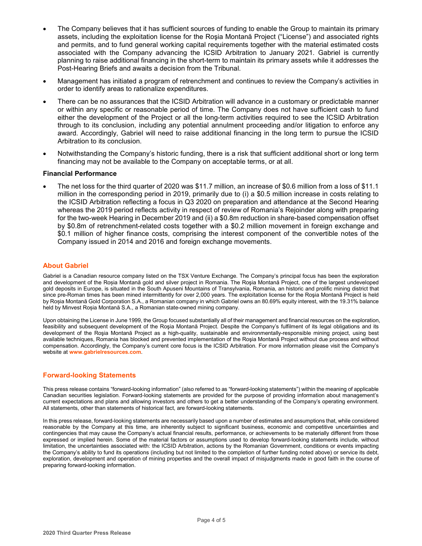- The Company believes that it has sufficient sources of funding to enable the Group to maintain its primary assets, including the exploitation license for the Roşia Montană Project ("License") and associated rights and permits, and to fund general working capital requirements together with the material estimated costs associated with the Company advancing the ICSID Arbitration to January 2021. Gabriel is currently planning to raise additional financing in the short-term to maintain its primary assets while it addresses the Post-Hearing Briefs and awaits a decision from the Tribunal.
- Management has initiated a program of retrenchment and continues to review the Company's activities in order to identify areas to rationalize expenditures.
- There can be no assurances that the ICSID Arbitration will advance in a customary or predictable manner or within any specific or reasonable period of time. The Company does not have sufficient cash to fund either the development of the Project or all the long-term activities required to see the ICSID Arbitration through to its conclusion, including any potential annulment proceeding and/or litigation to enforce any award. Accordingly, Gabriel will need to raise additional financing in the long term to pursue the ICSID Arbitration to its conclusion.
- Notwithstanding the Company's historic funding, there is a risk that sufficient additional short or long term financing may not be available to the Company on acceptable terms, or at all.

#### **Financial Performance**

• The net loss for the third quarter of 2020 was \$11.7 million, an increase of \$0.6 million from a loss of \$11.1 million in the corresponding period in 2019, primarily due to (i) a \$0.5 million increase in costs relating to the ICSID Arbitration reflecting a focus in Q3 2020 on preparation and attendance at the Second Hearing whereas the 2019 period reflects activity in respect of review of Romania's Rejoinder along with preparing for the two-week Hearing in December 2019 and (ii) a \$0.8m reduction in share-based compensation offset by \$0.8m of retrenchment-related costs together with a \$0.2 million movement in foreign exchange and \$0.1 million of higher finance costs, comprising the interest component of the convertible notes of the Company issued in 2014 and 2016 and foreign exchange movements.

### **About Gabriel**

Gabriel is a Canadian resource company listed on the TSX Venture Exchange. The Company's principal focus has been the exploration and development of the Roșia Montană gold and silver project in Romania. The Roşia Montană Project, one of the largest undeveloped gold deposits in Europe, is situated in the South Apuseni Mountains of Transylvania, Romania, an historic and prolific mining district that since pre-Roman times has been mined intermittently for over 2,000 years. The exploitation license for the Roşia Montană Project is held by Roșia Montană Gold Corporation S.A., a Romanian company in which Gabriel owns an 80.69% equity interest, with the 19.31% balance held by Minvest Roșia Montană S.A., a Romanian state-owned mining company.

Upon obtaining the License in June 1999, the Group focused substantially all of their management and financial resources on the exploration, feasibility and subsequent development of the Roşia Montană Project. Despite the Company's fulfilment of its legal obligations and its development of the Roşia Montană Project as a high-quality, sustainable and environmentally-responsible mining project, using best available techniques, Romania has blocked and prevented implementation of the Roşia Montană Project without due process and without compensation. Accordingly, the Company's current core focus is the ICSID Arbitration. For more information please visit the Company's website at **www.gabrielresources.com**.

### **Forward-looking Statements**

This press release contains "forward-looking information" (also referred to as "forward-looking statements") within the meaning of applicable Canadian securities legislation. Forward-looking statements are provided for the purpose of providing information about management's current expectations and plans and allowing investors and others to get a better understanding of the Company's operating environment. All statements, other than statements of historical fact, are forward-looking statements.

In this press release, forward-looking statements are necessarily based upon a number of estimates and assumptions that, while considered reasonable by the Company at this time, are inherently subject to significant business, economic and competitive uncertainties and contingencies that may cause the Company's actual financial results, performance, or achievements to be materially different from those expressed or implied herein. Some of the material factors or assumptions used to develop forward-looking statements include, without limitation, the uncertainties associated with: the ICSID Arbitration, actions by the Romanian Government, conditions or events impacting the Company's ability to fund its operations (including but not limited to the completion of further funding noted above) or service its debt, exploration, development and operation of mining properties and the overall impact of misjudgments made in good faith in the course of preparing forward-looking information.